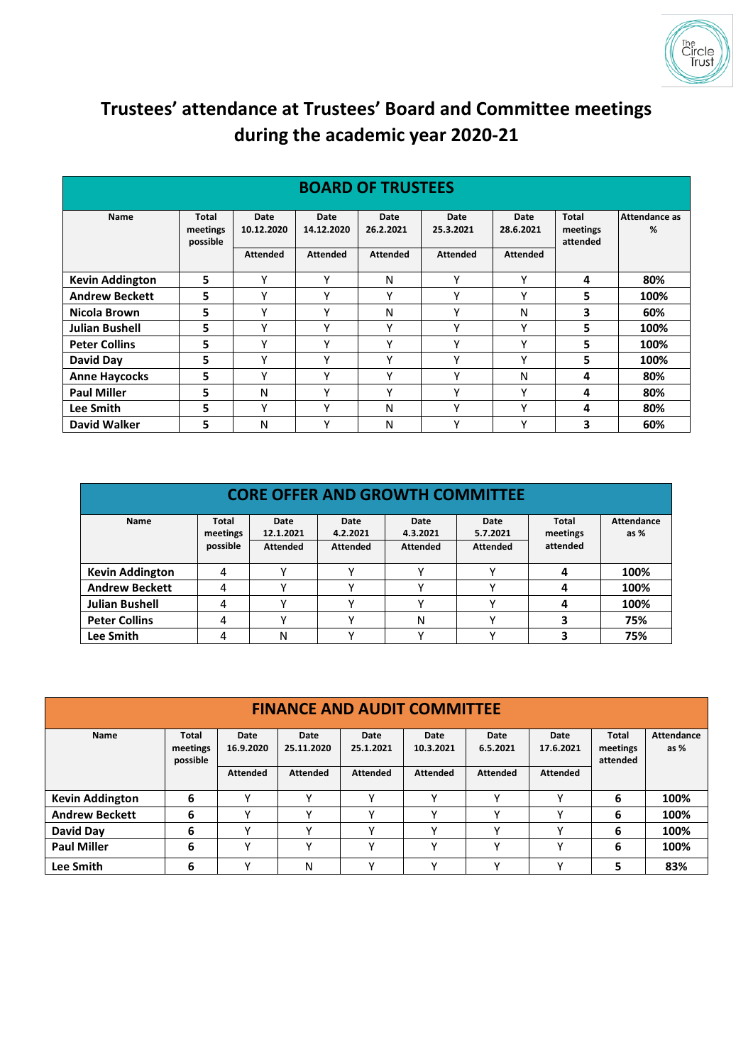

## **Trustees' attendance at Trustees' Board and Committee meetings during the academic year 2020-21**

| <b>BOARD OF TRUSTEES</b> |                                      |                    |                    |                   |                   |                   |                                      |                    |  |  |  |
|--------------------------|--------------------------------------|--------------------|--------------------|-------------------|-------------------|-------------------|--------------------------------------|--------------------|--|--|--|
| Name                     | <b>Total</b><br>meetings<br>possible | Date<br>10.12.2020 | Date<br>14.12.2020 | Date<br>26.2.2021 | Date<br>25.3.2021 | Date<br>28.6.2021 | <b>Total</b><br>meetings<br>attended | Attendance as<br>% |  |  |  |
|                          |                                      | <b>Attended</b>    | <b>Attended</b>    | <b>Attended</b>   | <b>Attended</b>   | <b>Attended</b>   |                                      |                    |  |  |  |
| <b>Kevin Addington</b>   | 5                                    | γ                  | v                  | N                 | ٧                 | Υ                 | 4                                    | 80%                |  |  |  |
| <b>Andrew Beckett</b>    | 5                                    | Υ                  | Υ                  | v                 | v                 | Υ                 | 5                                    | 100%               |  |  |  |
| Nicola Brown             | 5                                    | Υ                  | Υ                  | Ν                 | v                 | Ν                 | 3                                    | 60%                |  |  |  |
| <b>Julian Bushell</b>    | 5                                    | v                  | $\checkmark$       | $\checkmark$      | $\checkmark$      | $\checkmark$      | 5                                    | 100%               |  |  |  |
| <b>Peter Collins</b>     | 5                                    | ٧                  | $\checkmark$       | ν                 | $\checkmark$      | v                 | 5                                    | 100%               |  |  |  |
| David Day                | 5                                    | Υ                  | Υ                  | ۷                 | Υ                 | Υ                 | 5                                    | 100%               |  |  |  |
| <b>Anne Haycocks</b>     | 5                                    | v                  | $\checkmark$       | v                 | v                 | N                 | 4                                    | 80%                |  |  |  |
| <b>Paul Miller</b>       | 5                                    | N                  | $\checkmark$       | $\checkmark$      | $\checkmark$      | $\checkmark$      | 4                                    | 80%                |  |  |  |
| Lee Smith                | 5                                    | v                  | $\checkmark$       | Ν                 | $\checkmark$      | v                 | 4                                    | 80%                |  |  |  |
| <b>David Walker</b>      | 5                                    | N                  | $\checkmark$       | Ν                 | $\checkmark$      | Υ                 | 3                                    | 60%                |  |  |  |

## **BOARD OF TRUSTEES**

| <b>CORE OFFER AND GROWTH COMMITTEE</b> |                                      |                                      |                                     |                                     |                                     |                                      |                             |  |  |  |
|----------------------------------------|--------------------------------------|--------------------------------------|-------------------------------------|-------------------------------------|-------------------------------------|--------------------------------------|-----------------------------|--|--|--|
| Name                                   | <b>Total</b><br>meetings<br>possible | Date<br>12.1.2021<br><b>Attended</b> | Date<br>4.2.2021<br><b>Attended</b> | Date<br>4.3.2021<br><b>Attended</b> | Date<br>5.7.2021<br><b>Attended</b> | <b>Total</b><br>meetings<br>attended | <b>Attendance</b><br>as $%$ |  |  |  |
| <b>Kevin Addington</b>                 | 4                                    |                                      | v                                   |                                     |                                     | 4                                    | 100%                        |  |  |  |
| <b>Andrew Beckett</b>                  | 4                                    |                                      | v                                   |                                     |                                     | 4                                    | 100%                        |  |  |  |
| <b>Julian Bushell</b>                  | 4                                    |                                      | v                                   |                                     |                                     |                                      | 100%                        |  |  |  |
| <b>Peter Collins</b>                   | 4                                    |                                      | v                                   | N                                   | $\checkmark$                        |                                      | 75%                         |  |  |  |
| Lee Smith                              | 4                                    | N                                    |                                     |                                     |                                     |                                      | 75%                         |  |  |  |

| <b>FINANCE AND AUDIT COMMITTEE</b> |                                      |                   |                    |                   |                   |                  |                   |                               |                             |  |
|------------------------------------|--------------------------------------|-------------------|--------------------|-------------------|-------------------|------------------|-------------------|-------------------------------|-----------------------------|--|
| Name                               | <b>Total</b><br>meetings<br>possible | Date<br>16.9.2020 | Date<br>25.11.2020 | Date<br>25.1.2021 | Date<br>10.3.2021 | Date<br>6.5.2021 | Date<br>17.6.2021 | Total<br>meetings<br>attended | <b>Attendance</b><br>as $%$ |  |
|                                    |                                      | <b>Attended</b>   | <b>Attended</b>    | <b>Attended</b>   | <b>Attended</b>   | <b>Attended</b>  | <b>Attended</b>   |                               |                             |  |
| <b>Kevin Addington</b>             | 6                                    |                   |                    |                   |                   |                  | $\checkmark$      | 6                             | 100%                        |  |
| <b>Andrew Beckett</b>              | 6                                    | v                 |                    |                   | v                 | $\mathbf{v}$     | $\checkmark$      | 6                             | 100%                        |  |
| David Day                          | 6                                    | v                 |                    |                   | v                 | $\checkmark$     | $\checkmark$      | 6                             | 100%                        |  |
| <b>Paul Miller</b>                 | 6                                    | v                 |                    |                   | v                 | v                | ν                 | 6                             | 100%                        |  |
| Lee Smith                          | 6                                    | v                 | N                  |                   | v                 | $\mathbf{v}$     | v                 | 5                             | 83%                         |  |